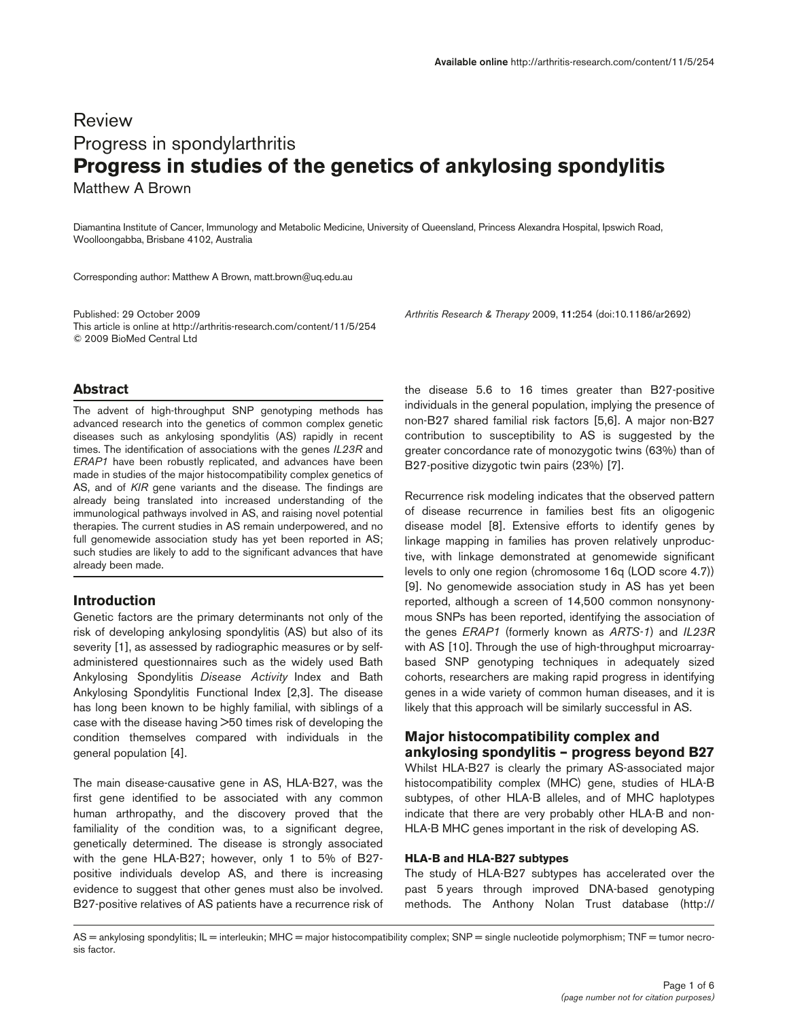# Review Progress in spondylarthritis **Progress in studies of the genetics of ankylosing spondylitis** Matthew A Brown

Diamantina Institute of Cancer, Immunology and Metabolic Medicine, University of Queensland, Princess Alexandra Hospital, Ipswich Road, Woolloongabba, Brisbane 4102, Australia

Corresponding author: Matthew A Brown, matt.brown@uq.edu.au

Published: 29 October 2009 *Arthritis Research & Therapy* 2009, **11:**254 (doi:10.1186/ar2692) This article is online at http://arthritis-research.com/content/11/5/254 © 2009 BioMed Central Ltd

## **Abstract**

The advent of high-throughput SNP genotyping methods has advanced research into the genetics of common complex genetic diseases such as ankylosing spondylitis (AS) rapidly in recent times. The identification of associations with the genes *IL23R* and *ERAP1* have been robustly replicated, and advances have been made in studies of the major histocompatibility complex genetics of AS, and of *KIR* gene variants and the disease. The findings are already being translated into increased understanding of the immunological pathways involved in AS, and raising novel potential therapies. The current studies in AS remain underpowered, and no full genomewide association study has yet been reported in AS; such studies are likely to add to the significant advances that have already been made.

## **Introduction**

Genetic factors are the primary determinants not only of the risk of developing ankylosing spondylitis (AS) but also of its severity [1], as assessed by radiographic measures or by selfadministered questionnaires such as the widely used Bath Ankylosing Spondylitis *Disease Activity* Index and Bath Ankylosing Spondylitis Functional Index [2,3]. The disease has long been known to be highly familial, with siblings of a case with the disease having >50 times risk of developing the condition themselves compared with individuals in the general population [4].

The main disease-causative gene in AS, HLA-B27, was the first gene identified to be associated with any common human arthropathy, and the discovery proved that the familiality of the condition was, to a significant degree, genetically determined. The disease is strongly associated with the gene HLA-B27; however, only 1 to 5% of B27 positive individuals develop AS, and there is increasing evidence to suggest that other genes must also be involved. B27-positive relatives of AS patients have a recurrence risk of

the disease 5.6 to 16 times greater than B27-positive individuals in the general population, implying the presence of non-B27 shared familial risk factors [5,6]. A major non-B27 contribution to susceptibility to AS is suggested by the greater concordance rate of monozygotic twins (63%) than of B27-positive dizygotic twin pairs (23%) [7].

Recurrence risk modeling indicates that the observed pattern of disease recurrence in families best fits an oligogenic disease model [8]. Extensive efforts to identify genes by linkage mapping in families has proven relatively unproductive, with linkage demonstrated at genomewide significant levels to only one region (chromosome 16q (LOD score 4.7)) [9]. No genomewide association study in AS has yet been reported, although a screen of 14,500 common nonsynonymous SNPs has been reported, identifying the association of the genes *ERAP1* (formerly known as *ARTS-1*) and *IL23R* with AS [10]. Through the use of high-throughput microarraybased SNP genotyping techniques in adequately sized cohorts, researchers are making rapid progress in identifying genes in a wide variety of common human diseases, and it is likely that this approach will be similarly successful in AS.

# **Major histocompatibility complex and ankylosing spondylitis – progress beyond B27**

Whilst HLA-B27 is clearly the primary AS-associated major histocompatibility complex (MHC) gene, studies of HLA-B subtypes, of other HLA-B alleles, and of MHC haplotypes indicate that there are very probably other HLA-B and non-HLA-B MHC genes important in the risk of developing AS.

## **HLA-B and HLA-B27 subtypes**

The study of HLA-B27 subtypes has accelerated over the past 5 years through improved DNA-based genotyping methods. The Anthony Nolan Trust database (http://

AS = ankylosing spondylitis; IL = interleukin; MHC = major histocompatibility complex; SNP = single nucleotide polymorphism; TNF = tumor necrosis factor.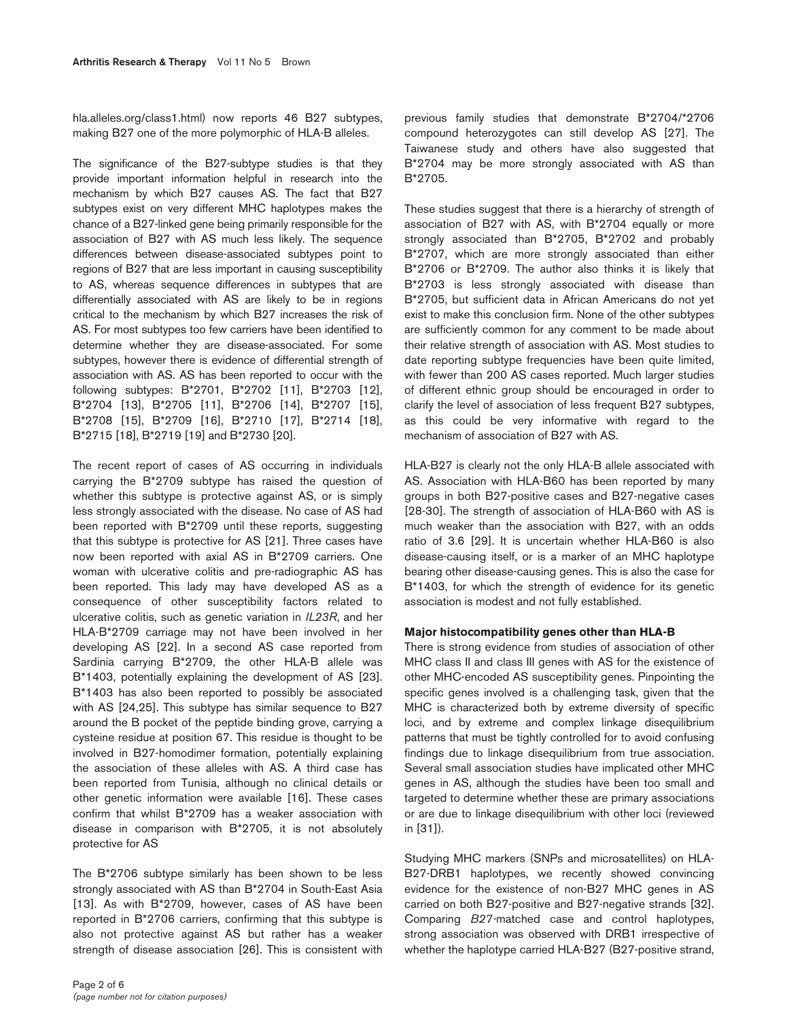hla.alleles.org/class1.html) now reports 46 B27 subtypes, making B27 one of the more polymorphic of HLA-B alleles.

The significance of the B27-subtype studies is that they provide important information helpful in research into the mechanism by which B27 causes AS. The fact that B27 subtypes exist on very different MHC haplotypes makes the chance of a B27-linked gene being primarily responsible for the association of B27 with AS much less likely. The sequence differences between disease-associated subtypes point to regions of B27 that are less important in causing susceptibility to AS, whereas sequence differences in subtypes that are differentially associated with AS are likely to be in regions critical to the mechanism by which B27 increases the risk of AS. For most subtypes too few carriers have been identified to determine whether they are disease-associated. For some subtypes, however there is evidence of differential strength of association with AS. AS has been reported to occur with the following subtypes: B\*2701, B\*2702 [11], B\*2703 [12], B\*2704 [13], B\*2705 [11], B\*2706 [14], B\*2707 [15], B\*2708 [15], B\*2709 [16], B\*2710 [17], B\*2714 [18], B\*2715 [18], B\*2719 [19] and B\*2730 [20].

The recent report of cases of AS occurring in individuals carrying the B\*2709 subtype has raised the question of whether this subtype is protective against AS, or is simply less strongly associated with the disease. No case of AS had been reported with B\*2709 until these reports, suggesting that this subtype is protective for AS [21]. Three cases have now been reported with axial AS in B\*2709 carriers. One woman with ulcerative colitis and pre-radiographic AS has been reported. This lady may have developed AS as a consequence of other susceptibility factors related to ulcerative colitis, such as genetic variation in *IL23R*, and her HLA-B\*2709 carriage may not have been involved in her developing AS [22]. In a second AS case reported from Sardinia carrying B\*2709, the other HLA-B allele was B\*1403, potentially explaining the development of AS [23]. B\*1403 has also been reported to possibly be associated with AS [24,25]. This subtype has similar sequence to B27 around the B pocket of the peptide binding grove, carrying a cysteine residue at position 67. This residue is thought to be involved in B27-homodimer formation, potentially explaining the association of these alleles with AS. A third case has been reported from Tunisia, although no clinical details or other genetic information were available [16]. These cases confirm that whilst B\*2709 has a weaker association with disease in comparison with B\*2705, it is not absolutely protective for AS

The B\*2706 subtype similarly has been shown to be less strongly associated with AS than B\*2704 in South-East Asia [13]. As with B\*2709, however, cases of AS have been reported in B\*2706 carriers, confirming that this subtype is also not protective against AS but rather has a weaker strength of disease association [26]. This is consistent with

previous family studies that demonstrate B\*2704/\*2706 compound heterozygotes can still develop AS [27]. The Taiwanese study and others have also suggested that B\*2704 may be more strongly associated with AS than B\*2705.

These studies suggest that there is a hierarchy of strength of association of B27 with AS, with B\*2704 equally or more strongly associated than B\*2705, B\*2702 and probably B\*2707, which are more strongly associated than either B\*2706 or B\*2709. The author also thinks it is likely that B\*2703 is less strongly associated with disease than B\*2705, but sufficient data in African Americans do not yet exist to make this conclusion firm. None of the other subtypes are sufficiently common for any comment to be made about their relative strength of association with AS. Most studies to date reporting subtype frequencies have been quite limited, with fewer than 200 AS cases reported. Much larger studies of different ethnic group should be encouraged in order to clarify the level of association of less frequent B27 subtypes, as this could be very informative with regard to the mechanism of association of B27 with AS.

HLA-B27 is clearly not the only HLA-B allele associated with AS. Association with HLA-B60 has been reported by many groups in both B27-positive cases and B27-negative cases [28-30]. The strength of association of HLA-B60 with AS is much weaker than the association with B27, with an odds ratio of 3.6 [29]. It is uncertain whether HLA-B60 is also disease-causing itself, or is a marker of an MHC haplotype bearing other disease-causing genes. This is also the case for B\*1403, for which the strength of evidence for its genetic association is modest and not fully established.

#### **Major histocompatibility genes other than HLA-B**

There is strong evidence from studies of association of other MHC class II and class III genes with AS for the existence of other MHC-encoded AS susceptibility genes. Pinpointing the specific genes involved is a challenging task, given that the MHC is characterized both by extreme diversity of specific loci, and by extreme and complex linkage disequilibrium patterns that must be tightly controlled for to avoid confusing findings due to linkage disequilibrium from true association. Several small association studies have implicated other MHC genes in AS, although the studies have been too small and targeted to determine whether these are primary associations or are due to linkage disequilibrium with other loci (reviewed in [31]).

Studying MHC markers (SNPs and microsatellites) on HLA-B27-DRB1 haplotypes, we recently showed convincing evidence for the existence of non-B27 MHC genes in AS carried on both B27-positive and B27-negative strands [32]. Comparing *B27-*matched case and control haplotypes, strong association was observed with DRB1 irrespective of whether the haplotype carried HLA-B27 (B27-positive strand,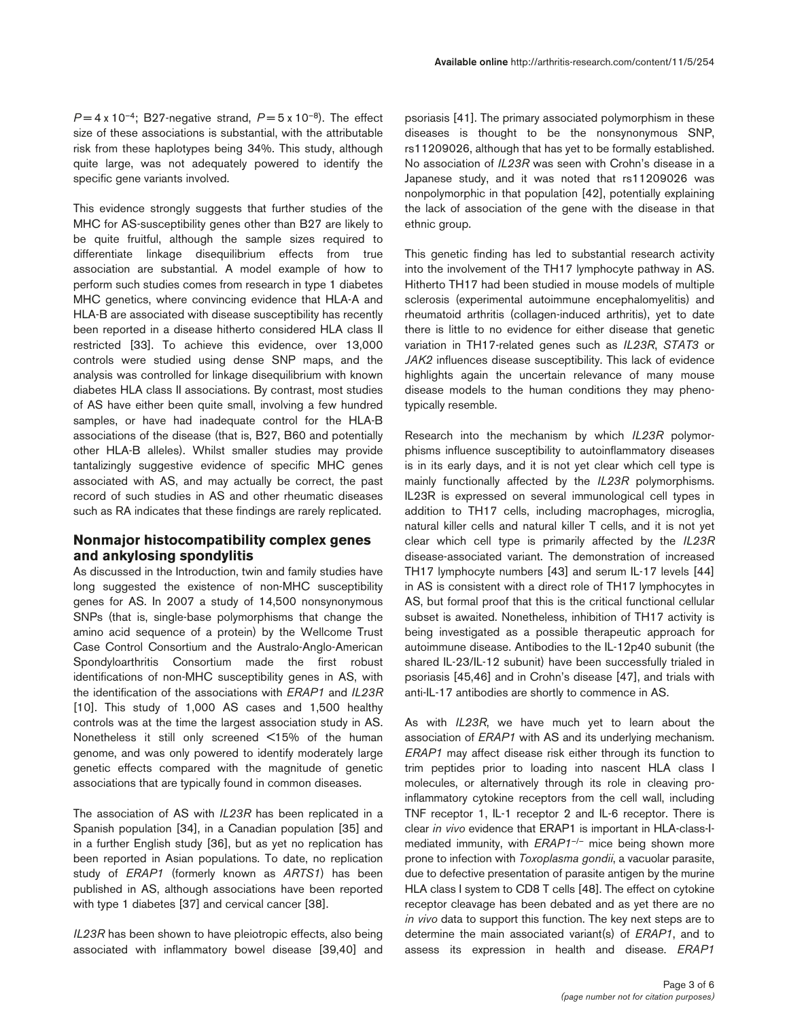$P = 4 \times 10^{-4}$ ; B27-negative strand,  $P = 5 \times 10^{-8}$ ). The effect size of these associations is substantial, with the attributable risk from these haplotypes being 34%. This study, although quite large, was not adequately powered to identify the specific gene variants involved.

This evidence strongly suggests that further studies of the MHC for AS-susceptibility genes other than B27 are likely to be quite fruitful, although the sample sizes required to differentiate linkage disequilibrium effects from true association are substantial. A model example of how to perform such studies comes from research in type 1 diabetes MHC genetics, where convincing evidence that HLA-A and HLA-B are associated with disease susceptibility has recently been reported in a disease hitherto considered HLA class II restricted [33]. To achieve this evidence, over 13,000 controls were studied using dense SNP maps, and the analysis was controlled for linkage disequilibrium with known diabetes HLA class II associations. By contrast, most studies of AS have either been quite small, involving a few hundred samples, or have had inadequate control for the HLA-B associations of the disease (that is, B27, B60 and potentially other HLA-B alleles). Whilst smaller studies may provide tantalizingly suggestive evidence of specific MHC genes associated with AS, and may actually be correct, the past record of such studies in AS and other rheumatic diseases such as RA indicates that these findings are rarely replicated.

# **Nonmajor histocompatibility complex genes and ankylosing spondylitis**

As discussed in the Introduction, twin and family studies have long suggested the existence of non-MHC susceptibility genes for AS. In 2007 a study of 14,500 nonsynonymous SNPs (that is, single-base polymorphisms that change the amino acid sequence of a protein) by the Wellcome Trust Case Control Consortium and the Australo-Anglo-American Spondyloarthritis Consortium made the first robust identifications of non-MHC susceptibility genes in AS, with the identification of the associations with *ERAP1* and *IL23R* [10]. This study of 1,000 AS cases and 1,500 healthy controls was at the time the largest association study in AS. Nonetheless it still only screened <15% of the human genome, and was only powered to identify moderately large genetic effects compared with the magnitude of genetic associations that are typically found in common diseases.

The association of AS with *IL23R* has been replicated in a Spanish population [34], in a Canadian population [35] and in a further English study [36], but as yet no replication has been reported in Asian populations. To date, no replication study of *ERAP1* (formerly known as *ARTS1*) has been published in AS, although associations have been reported with type 1 diabetes [37] and cervical cancer [38].

*IL23R* has been shown to have pleiotropic effects, also being associated with inflammatory bowel disease [39,40] and psoriasis [41]. The primary associated polymorphism in these diseases is thought to be the nonsynonymous SNP, rs11209026, although that has yet to be formally established. No association of *IL23R* was seen with Crohn's disease in a Japanese study, and it was noted that rs11209026 was nonpolymorphic in that population [42], potentially explaining the lack of association of the gene with the disease in that ethnic group.

This genetic finding has led to substantial research activity into the involvement of the TH17 lymphocyte pathway in AS. Hitherto TH17 had been studied in mouse models of multiple sclerosis (experimental autoimmune encephalomyelitis) and rheumatoid arthritis (collagen-induced arthritis), yet to date there is little to no evidence for either disease that genetic variation in TH17-related genes such as *IL23R*, *STAT3* or *JAK2* influences disease susceptibility. This lack of evidence highlights again the uncertain relevance of many mouse disease models to the human conditions they may phenotypically resemble.

Research into the mechanism by which *IL23R* polymorphisms influence susceptibility to autoinflammatory diseases is in its early days, and it is not yet clear which cell type is mainly functionally affected by the *IL23R* polymorphisms. IL23R is expressed on several immunological cell types in addition to TH17 cells, including macrophages, microglia, natural killer cells and natural killer T cells, and it is not yet clear which cell type is primarily affected by the *IL23R* disease-associated variant. The demonstration of increased TH17 lymphocyte numbers [43] and serum IL-17 levels [44] in AS is consistent with a direct role of TH17 lymphocytes in AS, but formal proof that this is the critical functional cellular subset is awaited. Nonetheless, inhibition of TH17 activity is being investigated as a possible therapeutic approach for autoimmune disease. Antibodies to the IL-12p40 subunit (the shared IL-23/IL-12 subunit) have been successfully trialed in psoriasis [45,46] and in Crohn's disease [47], and trials with anti-IL-17 antibodies are shortly to commence in AS.

As with *IL23R*, we have much yet to learn about the association of *ERAP1* with AS and its underlying mechanism. *ERAP1* may affect disease risk either through its function to trim peptides prior to loading into nascent HLA class I molecules, or alternatively through its role in cleaving proinflammatory cytokine receptors from the cell wall, including TNF receptor 1, IL-1 receptor 2 and IL-6 receptor. There is clear *in vivo* evidence that ERAP1 is important in HLA-class-Imediated immunity, with *ERAP1*–/– mice being shown more prone to infection with *Toxoplasma gondii*, a vacuolar parasite, due to defective presentation of parasite antigen by the murine HLA class I system to CD8 T cells [48]. The effect on cytokine receptor cleavage has been debated and as yet there are no *in vivo* data to support this function. The key next steps are to determine the main associated variant(s) of *ERAP1*, and to assess its expression in health and disease. *ERAP1*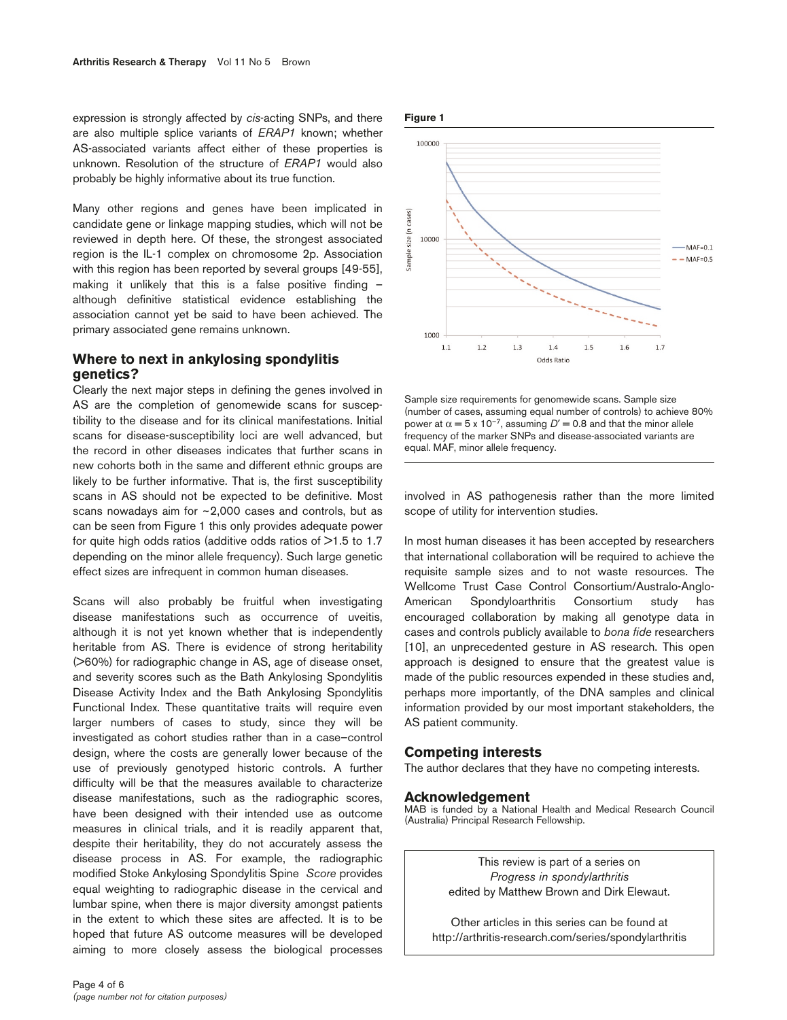expression is strongly affected by *cis*-acting SNPs, and there are also multiple splice variants of *ERAP1* known; whether AS-associated variants affect either of these properties is unknown. Resolution of the structure of *ERAP1* would also probably be highly informative about its true function.

Many other regions and genes have been implicated in candidate gene or linkage mapping studies, which will not be reviewed in depth here. Of these, the strongest associated region is the IL-1 complex on chromosome 2p. Association with this region has been reported by several groups [49-55]. making it unlikely that this is a false positive finding – although definitive statistical evidence establishing the association cannot yet be said to have been achieved. The primary associated gene remains unknown.

# **Where to next in ankylosing spondylitis genetics?**

Clearly the next major steps in defining the genes involved in AS are the completion of genomewide scans for susceptibility to the disease and for its clinical manifestations. Initial scans for disease-susceptibility loci are well advanced, but the record in other diseases indicates that further scans in new cohorts both in the same and different ethnic groups are likely to be further informative. That is, the first susceptibility scans in AS should not be expected to be definitive. Most scans nowadays aim for ~2,000 cases and controls, but as can be seen from Figure 1 this only provides adequate power for quite high odds ratios (additive odds ratios of  $\geq 1.5$  to 1.7 depending on the minor allele frequency). Such large genetic effect sizes are infrequent in common human diseases.

Scans will also probably be fruitful when investigating disease manifestations such as occurrence of uveitis, although it is not yet known whether that is independently heritable from AS. There is evidence of strong heritability (>60%) for radiographic change in AS, age of disease onset, and severity scores such as the Bath Ankylosing Spondylitis Disease Activity Index and the Bath Ankylosing Spondylitis Functional Index. These quantitative traits will require even larger numbers of cases to study, since they will be investigated as cohort studies rather than in a case–control design, where the costs are generally lower because of the use of previously genotyped historic controls. A further difficulty will be that the measures available to characterize disease manifestations, such as the radiographic scores, have been designed with their intended use as outcome measures in clinical trials, and it is readily apparent that, despite their heritability, they do not accurately assess the disease process in AS. For example, the radiographic modified Stoke Ankylosing Spondylitis Spine *Score* provides equal weighting to radiographic disease in the cervical and lumbar spine, when there is major diversity amongst patients in the extent to which these sites are affected. It is to be hoped that future AS outcome measures will be developed aiming to more closely assess the biological processes





Sample size requirements for genomewide scans. Sample size (number of cases, assuming equal number of controls) to achieve 80% power at  $\alpha = 5 \times 10^{-7}$ , assuming  $D' = 0.8$  and that the minor allele frequency of the marker SNPs and disease-associated variants are equal. MAF, minor allele frequency.

involved in AS pathogenesis rather than the more limited scope of utility for intervention studies.

In most human diseases it has been accepted by researchers that international collaboration will be required to achieve the requisite sample sizes and to not waste resources. The Wellcome Trust Case Control Consortium/Australo-Anglo-American Spondyloarthritis Consortium study has encouraged collaboration by making all genotype data in cases and controls publicly available to *bona fide* researchers [10], an unprecedented gesture in AS research. This open approach is designed to ensure that the greatest value is made of the public resources expended in these studies and, perhaps more importantly, of the DNA samples and clinical information provided by our most important stakeholders, the AS patient community.

# **Competing interests**

The author declares that they have no competing interests.

## **Acknowledgement**

MAB is funded by a National Health and Medical Research Council (Australia) Principal Research Fellowship.

> This review is part of a series on *Progress in spondylarthritis* edited by Matthew Brown and Dirk Elewaut.

Other articles in this series can be found at http://arthritis-research.com/series/spondylarthritis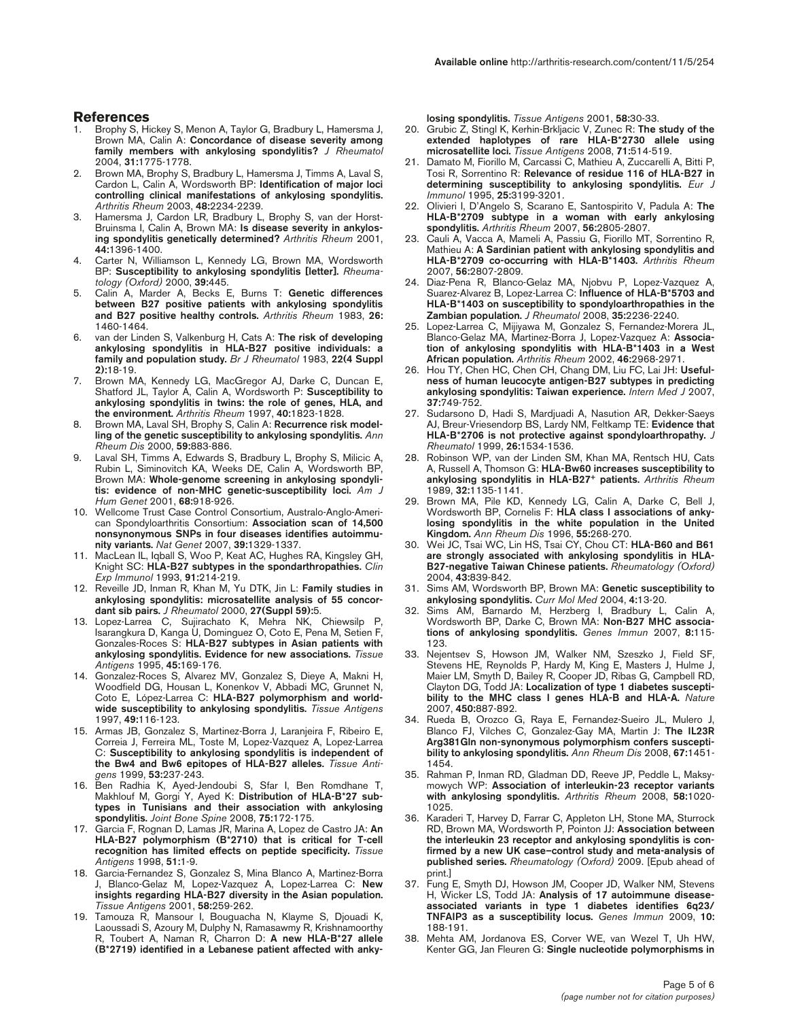#### **References**

- Brophy S, Hickey S, Menon A, Taylor G, Bradbury L, Hamersma J, Brown MA, Calin A: **Concordance of disease severity among family members with ankylosing spondylitis?** *J Rheumatol* 2004, **31:**1775-1778.
- Brown MA, Brophy S, Bradbury L, Hamersma J, Timms A, Laval S, Cardon L, Calin A, Wordsworth BP: **Identification of major loci controlling clinical manifestations of ankylosing spondylitis.** *Arthritis Rheum* 2003, **48:**2234-2239.
- Hamersma J, Cardon LR, Bradbury L, Brophy S, van der Horst-Bruinsma I, Calin A, Brown MA: **Is disease severity in ankylosing spondylitis genetically determined?** *Arthritis Rheum* 2001, **44:**1396-1400.
- 4. Carter N, Williamson L, Kennedy LG, Brown MA, Wordsworth BP: **Susceptibility to ankylosing spondylitis [letter].** *Rheumatology (Oxford)* 2000, **39:**445.
- 5. Calin A, Marder A, Becks E, Burns T: **Genetic differences between B27 positive patients with ankylosing spondylitis and B27 positive healthy controls.** *Arthritis Rheum* 1983, **26:** 1460-1464.
- 6. van der Linden S, Valkenburg H, Cats A: **The risk of developing ankylosing spondylitis in HLA-B27 positive individuals: a family and population study.** *Br J Rheumatol* 1983, **22(4 Suppl 2):**18-19.
- 7. Brown MA, Kennedy LG, MacGregor AJ, Darke C, Duncan E, Shatford JL, Taylor A, Calin A, Wordsworth P: **Susceptibility to ankylosing spondylitis in twins: the role of genes, HLA, and the environment.** *Arthritis Rheum* 1997, **40:**1823-1828.
- Brown MA, Laval SH, Brophy S, Calin A: Recurrence risk model**ling of the genetic susceptibility to ankylosing spondylitis.** *Ann Rheum Dis* 2000, **59:**883-886.
- 9. Laval SH, Timms A, Edwards S, Bradbury L, Brophy S, Milicic A, Rubin L, Siminovitch KA, Weeks DE, Calin A, Wordsworth BP, Brown MA: **Whole-genome screening in ankylosing spondylitis: evidence of non-MHC genetic-susceptibility loci.** *Am J Hum Genet* 2001, **68:**918-926.
- 10. Wellcome Trust Case Control Consortium, Australo-Anglo-American Spondyloarthritis Consortium: **Association scan of 14,500 nonsynonymous SNPs in four diseases identifies autoimmunity variants.** *Nat Genet* 2007, **39:**1329-1337.
- 11. MacLean IL, Iqball S, Woo P, Keat AC, Hughes RA, Kingsley GH, Knight SC: **HLA-B27 subtypes in the spondarthropathies.** *Clin Exp Immunol* 1993, **91:**214-219.
- 12. Reveille JD, Inman R, Khan M, Yu DTK, Jin L: **Family studies in ankylosing spondylitis: microsatellite analysis of 55 concordant sib pairs.** *J Rheumatol* 2000, **27(Suppl 59):**5.
- 13. Lopez-Larrea C, Sujirachato K, Mehra NK, Chiewsilp P, Isarangkura D, Kanga U, Dominguez O, Coto E, Pena M, Setien F, Gonzales-Roces S: **HLA-B27 subtypes in Asian patients with ankylosing spondylitis. Evidence for new associations.** *Tissue Antigens* 1995, **45:**169-176.
- 14. Gonzalez-Roces S, Alvarez MV, Gonzalez S, Dieye A, Makni H, Woodfield DG, Housan L, Konenkov V, Abbadi MC, Grunnet N, Coto E, López-Larrea C: **HLA-B27 polymorphism and worldwide susceptibility to ankylosing spondylitis.** *Tissue Antigens* 1997, **49:**116-123.
- 15. Armas JB, Gonzalez S, Martinez-Borra J, Laranjeira F, Ribeiro E, Correia J, Ferreira ML, Toste M, Lopez-Vazquez A, Lopez-Larrea C: **Susceptibility to ankylosing spondylitis is independent of the Bw4 and Bw6 epitopes of HLA-B27 alleles.** *Tissue Antigens* 1999, **53:**237-243.
- 16. Ben Radhia K, Ayed-Jendoubi S, Sfar I, Ben Romdhane T, Makhlouf M, Gorgi Y, Ayed K: **Distribution of HLA-B\*27 subtypes in Tunisians and their association with ankylosing spondylitis.** *Joint Bone Spine* 2008, **75:**172-175.
- 17. Garcia F, Rognan D, Lamas JR, Marina A, Lopez de Castro JA: **An HLA-B27 polymorphism (B\*2710) that is critical for T-cell recognition has limited effects on peptide specificity.** *Tissue Antigens* 1998, **51:**1-9.
- 18. Garcia-Fernandez S, Gonzalez S, Mina Blanco A, Martinez-Borra J, Blanco-Gelaz M, Lopez-Vazquez A, Lopez-Larrea C: **New insights regarding HLA-B27 diversity in the Asian population.** *Tissue Antigens* 2001, **58:**259-262.
- 19. Tamouza R, Mansour I, Bouguacha N, Klayme S, Djouadi K, Laoussadi S, Azoury M, Dulphy N, Ramasawmy R, Krishnamoorthy R, Toubert A, Naman R, Charron D: **A new HLA-B\*27 allele (B\*2719) identified in a Lebanese patient affected with anky-**

**losing spondylitis.** *Tissue Antigens* 2001, **58:**30-33.

- 20. Grubic Z, Stingl K, Kerhin-Brkljacic V, Zunec R: **The study of the extended haplotypes of rare HLA-B\*2730 allele using microsatellite loci.** *Tissue Antigens* 2008, **71:**514-519.
- 21. Damato M, Fiorillo M, Carcassi C, Mathieu A, Zuccarelli A, Bitti P, Tosi R, Sorrentino R: **Relevance of residue 116 of HLA-B27 in determining susceptibility to ankylosing spondylitis.** *Eur J Immunol* 1995, **25:**3199-3201.
- 22. Olivieri I, D'Angelo S, Scarano E, Santospirito V, Padula A: **The HLA-B\*2709 subtype in a woman with early ankylosing spondylitis.** *Arthritis Rheum* 2007, **56:**2805-2807.
- 23. Cauli A, Vacca A, Mameli A, Passiu G, Fiorillo MT, Sorrentino R, Mathieu A: **A Sardinian patient with ankylosing spondylitis and HLA-B\*2709 co-occurring with HLA-B\*1403.** *Arthritis Rheum* 2007, **56:**2807-2809.
- 24. Diaz-Pena R, Blanco-Gelaz MA, Njobvu P, Lopez-Vazquez A, Suarez-Alvarez B, Lopez-Larrea C: **Influence of HLA-B\*5703 and HLA-B\*1403 on susceptibility to spondyloarthropathies in the Zambian population.** *J Rheumatol* 2008, **35:**2236-2240.
- 25. Lopez-Larrea C, Mijiyawa M, Gonzalez S, Fernandez-Morera JL, Blanco-Gelaz MA, Martinez-Borra J, Lopez-Vazquez A: **Association of ankylosing spondylitis with HLA-B\*1403 in a West African population.** *Arthritis Rheum* 2002, **46:**2968-2971.
- 26. Hou TY, Chen HC, Chen CH, Chang DM, Liu FC, Lai JH: **Usefulness of human leucocyte antigen-B27 subtypes in predicting ankylosing spondylitis: Taiwan experience.** *Intern Med J* 2007, **37:**749-752.
- 27. Sudarsono D, Hadi S, Mardjuadi A, Nasution AR, Dekker-Saeys AJ, Breur-Vriesendorp BS, Lardy NM, Feltkamp TE: **Evidence that HLA-B\*2706 is not protective against spondyloarthropathy.** *J Rheumatol* 1999, **26:**1534-1536.
- 28. Robinson WP, van der Linden SM, Khan MA, Rentsch HU, Cats A, Russell A, Thomson G: **HLA-Bw60 increases susceptibility to ankylosing spondylitis in HLA-B27+ patients.** *Arthritis Rheum* 1989, **32:**1135-1141.
- Brown MA, Pile KD, Kennedy LG, Calin A, Darke C, Bell J, Wordsworth BP, Cornelis F: **HLA class I associations of ankylosing spondylitis in the white population in the United Kingdom.** *Ann Rheum Dis* 1996, **55:**268-270.
- 30. Wei JC, Tsai WC, Lin HS, Tsai CY, Chou CT: **HLA-B60 and B61 are strongly associated with ankylosing spondylitis in HLA-B27-negative Taiwan Chinese patients.** *Rheumatology (Oxford)* 2004, **43:**839-842.
- 31. Sims AM, Wordsworth BP, Brown MA: **Genetic susceptibility to ankylosing spondylitis.** *Curr Mol Med* 2004, **4:**13-20.
- 32. Sims AM, Barnardo M, Herzberg I, Bradbury L, Calin A, Wordsworth BP, Darke C, Brown MA: **Non-B27 MHC associations of ankylosing spondylitis.** *Genes Immun* 2007, **8:**115- 123.
- 33. Nejentsev S, Howson JM, Walker NM, Szeszko J, Field SF, Stevens HE, Reynolds P, Hardy M, King E, Masters J, Hulme J, Maier LM, Smyth D, Bailey R, Cooper JD, Ribas G, Campbell RD, Clayton DG, Todd JA: **Localization of type 1 diabetes susceptibility to the MHC class I genes HLA-B and HLA-A.** *Nature* 2007, **450:**887-892.
- 34. Rueda B, Orozco G, Raya E, Fernandez-Sueiro JL, Mulero J, Blanco FJ, Vilches C, Gonzalez-Gay MA, Martin J: **The IL23R Arg381Gln non-synonymous polymorphism confers susceptibility to ankylosing spondylitis.** *Ann Rheum Dis* 2008, **67:**1451- 1454.
- 35. Rahman P, Inman RD, Gladman DD, Reeve JP, Peddle L, Maksymowych WP: **Association of interleukin-23 receptor variants with ankylosing spondylitis.** *Arthritis Rheum* 2008, **58:**1020- 1025.
- 36. Karaderi T, Harvey D, Farrar C, Appleton LH, Stone MA, Sturrock RD, Brown MA, Wordsworth P, Pointon JJ: **Association between the interleukin 23 receptor and ankylosing spondylitis is confirmed by a new UK case–control study and meta-analysis of published series.** *Rheumatology (Oxford)* 2009. [Epub ahead of print.]
- 37. Fung E, Smyth DJ, Howson JM, Cooper JD, Walker NM, Stevens H, Wicker LS, Todd JA: **Analysis of 17 autoimmune diseaseassociated variants in type 1 diabetes identifies 6q23/ TNFAIP3 as a susceptibility locus.** *Genes Immun* 2009, **10:** 188-191.
- 38. Mehta AM, Jordanova ES, Corver WE, van Wezel T, Uh HW, Kenter GG, Jan Fleuren G: **Single nucleotide polymorphisms in**